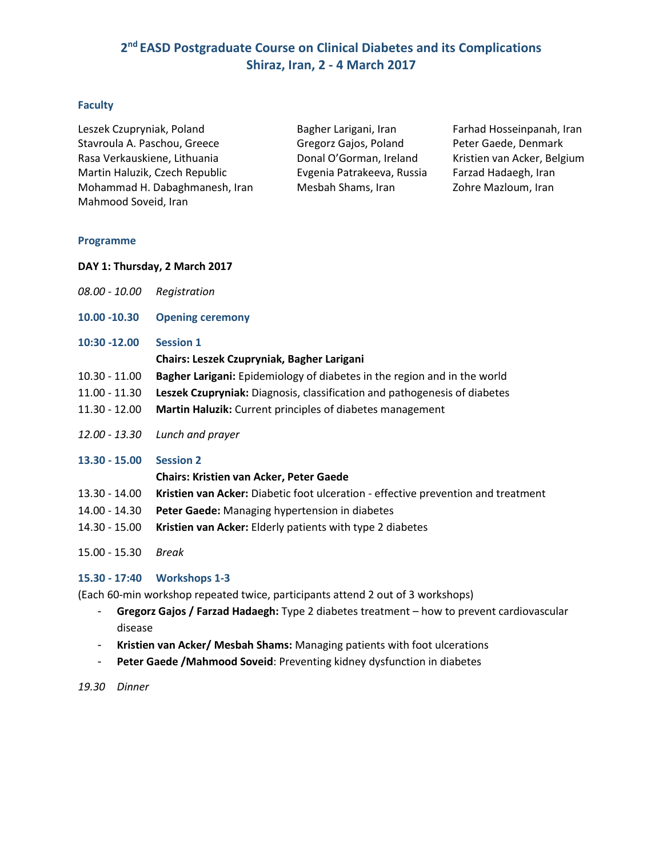# **2 nd EASD Postgraduate Course on Clinical Diabetes and its Complications Shiraz, Iran, 2 - 4 March 2017**

## **Faculty**

Leszek Czupryniak, Poland Bagher Larigani, Iran Farhad Hosseinpanah, Iran Stavroula A. Paschou, Greece Gregorz Gajos, Poland Peter Gaede, Denmark Rasa Verkauskiene, Lithuania Donal O'Gorman, Ireland Kristien van Acker, Belgium Martin Haluzik, Czech Republic Evgenia Patrakeeva, Russia Farzad Hadaegh, Iran Mohammad H. Dabaghmanesh, Iran Mesbah Shams, Iran Zohre Mazloum, Iran Mahmood Soveid, Iran

### **Programme**

- **DAY 1: Thursday, 2 March 2017**
- *08.00 - 10.00 Registration*
- **10.00 -10.30 Opening ceremony**
- **10:30 -12.00 Session 1**

### **Chairs: Leszek Czupryniak, Bagher Larigani**

- 10.30 11.00 **Bagher Larigani:** Epidemiology of diabetes in the region and in the world
- 11.00 11.30 **Leszek Czupryniak:** Diagnosis, classification and pathogenesis of diabetes
- 11.30 12.00 **Martin Haluzik:** Current principles of diabetes management
- *12.00 - 13.30 Lunch and prayer*

## **13.30 - 15.00 Session 2**

## **Chairs: Kristien van Acker, Peter Gaede**

- 13.30 14.00 **Kristien van Acker:** Diabetic foot ulceration effective prevention and treatment
- 14.00 14.30 **Peter Gaede:** Managing hypertension in diabetes
- 14.30 15.00 **Kristien van Acker:** Elderly patients with type 2 diabetes
- 15.00 15.30 *Break*

## **15.30 - 17:40 Workshops 1-3**

(Each 60-min workshop repeated twice, participants attend 2 out of 3 workshops)

- **Gregorz Gajos / Farzad Hadaegh:** Type 2 diabetes treatment how to prevent cardiovascular disease
- **Kristien van Acker/ Mesbah Shams:** Managing patients with foot ulcerations
- Peter Gaede /Mahmood Soveid: Preventing kidney dysfunction in diabetes

#### *19.30 Dinner*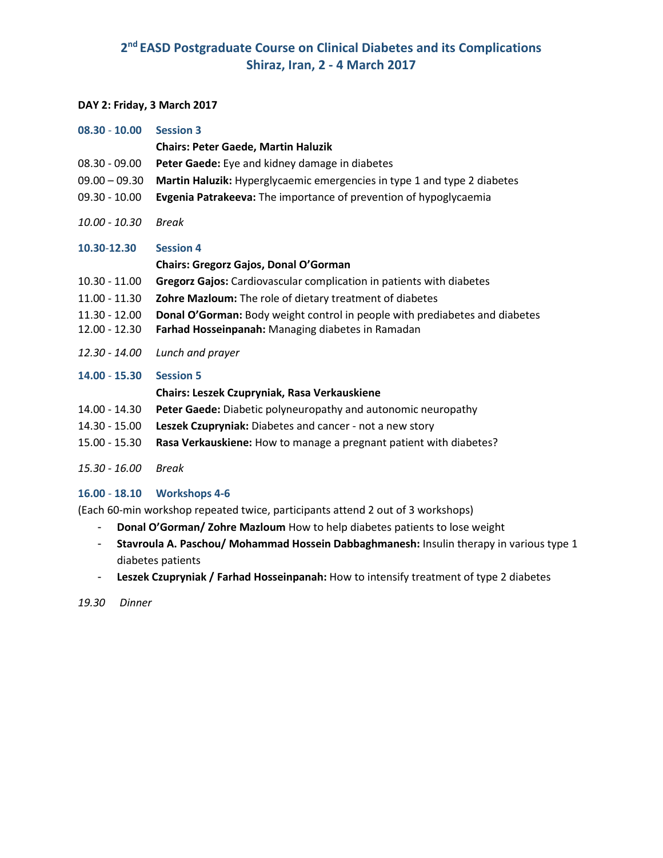# **2 nd EASD Postgraduate Course on Clinical Diabetes and its Complications Shiraz, Iran, 2 - 4 March 2017**

#### **DAY 2: Friday, 3 March 2017**

| $08.30 - 10.00$ | <b>Session 3</b>                                                            |
|-----------------|-----------------------------------------------------------------------------|
|                 | <b>Chairs: Peter Gaede, Martin Haluzik</b>                                  |
| $08.30 - 09.00$ | Peter Gaede: Eye and kidney damage in diabetes                              |
| $09.00 - 09.30$ | Martin Haluzik: Hyperglycaemic emergencies in type 1 and type 2 diabetes    |
| $09.30 - 10.00$ | Evgenia Patrakeeva: The importance of prevention of hypoglycaemia           |
| 10.00 - 10.30   | <b>Break</b>                                                                |
| 10.30-12.30     | <b>Session 4</b>                                                            |
|                 | <b>Chairs: Gregorz Gajos, Donal O'Gorman</b>                                |
| $10.30 - 11.00$ | <b>Gregorz Gajos:</b> Cardiovascular complication in patients with diabetes |
| $11.00 - 11.30$ | Zohre Mazloum: The role of dietary treatment of diabetes                    |
| $11.30 - 12.00$ | Donal O'Gorman: Body weight control in people with prediabetes and diabetes |
| 12.00 - 12.30   | Farhad Hosseinpanah: Managing diabetes in Ramadan                           |
| 12.30 - 14.00   | Lunch and prayer                                                            |
| 14.00 - 15.30   | <b>Session 5</b>                                                            |
|                 | <b>Chairs: Leszek Czupryniak, Rasa Verkauskiene</b>                         |
| 14.00 - 14.30   | Peter Gaede: Diabetic polyneuropathy and autonomic neuropathy               |
| 14.30 - 15.00   | Leszek Czupryniak: Diabetes and cancer - not a new story                    |
|                 |                                                                             |

15.00 - 15.30 **Rasa Verkauskiene:** How to manage a pregnant patient with diabetes?

*15.30 - 16.00 Break*

## **16.00** - **18.10 Workshops 4-6**

(Each 60-min workshop repeated twice, participants attend 2 out of 3 workshops)

- **Donal O'Gorman/ Zohre Mazloum** How to help diabetes patients to lose weight
- **Stavroula A. Paschou/ Mohammad Hossein Dabbaghmanesh:** Insulin therapy in various type 1 diabetes patients
- **Leszek Czupryniak / Farhad Hosseinpanah:** How to intensify treatment of type 2 diabetes

*19.30 Dinner*